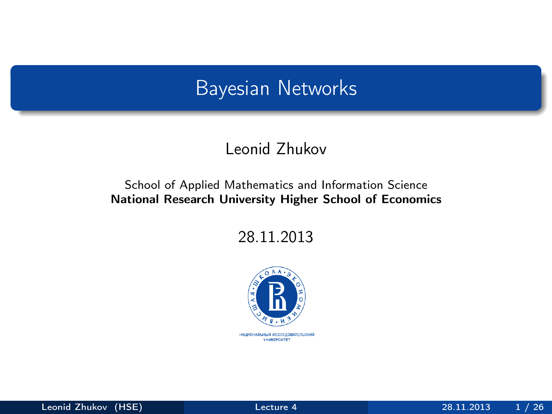#### <span id="page-0-0"></span>Bayesian Networks

#### Leonid Zhukov

#### School of Applied Mathematics and Information Science National Research University Higher School of Economics

28.11.2013

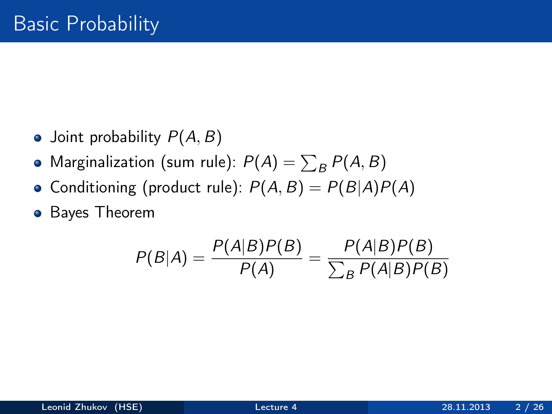- Joint probability  $P(A, B)$
- Marginalization (sum rule):  $P(A) = \sum_B P(A, B)$
- Conditioning (product rule):  $P(A, B) = P(B|A)P(A)$
- **•** Bayes Theorem

$$
P(B|A) = \frac{P(A|B)P(B)}{P(A)} = \frac{P(A|B)P(B)}{\sum_{B} P(A|B)P(B)}
$$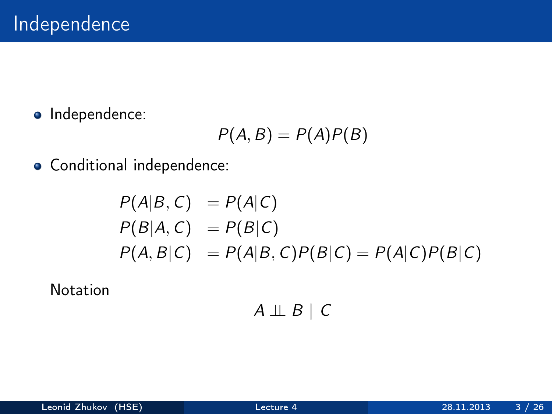• Independence:

$$
P(A, B) = P(A)P(B)
$$

Conditional independence:

$$
P(A|B, C) = P(A|C)
$$
  
\n
$$
P(B|A, C) = P(B|C)
$$
  
\n
$$
P(A, B|C) = P(A|B, C)P(B|C) = P(A|C)P(B|C)
$$

Notation

$$
A \perp\!\!\!\perp B \mid C
$$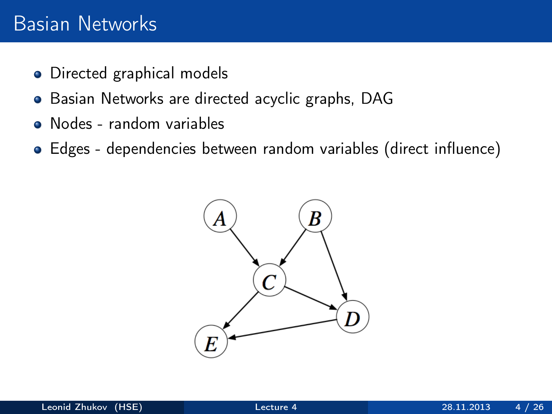#### Basian Networks

- Directed graphical models
- Basian Networks are directed acyclic graphs, DAG
- Nodes random variables
- Edges dependencies between random variables (direct influence)

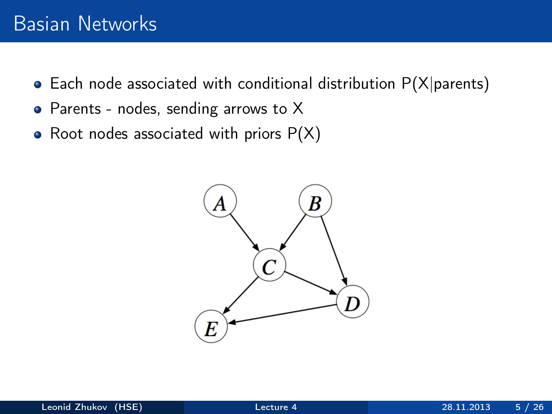- $\bullet$  Each node associated with conditional distribution P(X|parents)
- Parents nodes, sending arrows to X
- Root nodes associated with priors  $P(X)$

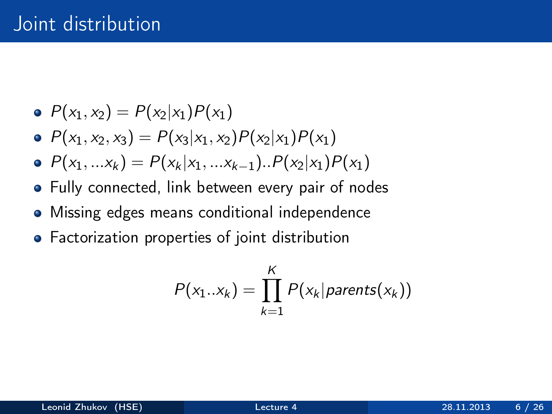- $P(x_1, x_2) = P(x_2 | x_1) P(x_1)$
- $P(x_1, x_2, x_3) = P(x_3 | x_1, x_2) P(x_2 | x_1) P(x_1)$
- $P(x_1, ... x_k) = P(x_k | x_1, ... x_{k-1}) \cdot P(x_2 | x_1) P(x_1)$
- Fully connected, link between every pair of nodes
- Missing edges means conditional independence
- Factorization properties of joint distribution

$$
P(x_1..x_k) = \prod_{k=1}^K P(x_k | parents(x_k))
$$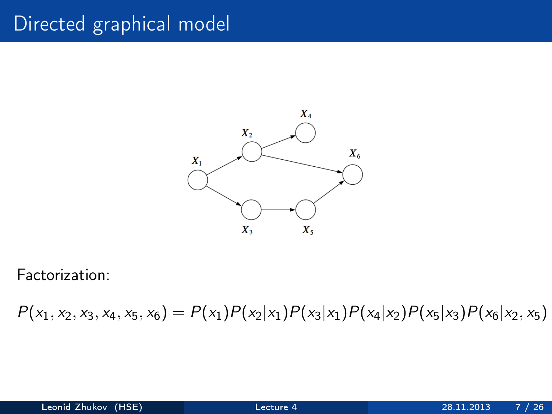# Directed graphical model



Factorization:

 $P(x_1, x_2, x_3, x_4, x_5, x_6) = P(x_1)P(x_2|x_1)P(x_3|x_1)P(x_4|x_2)P(x_5|x_3)P(x_6|x_2, x_5)$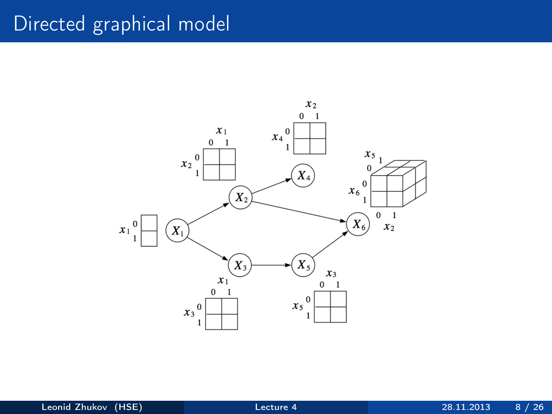# Directed graphical model

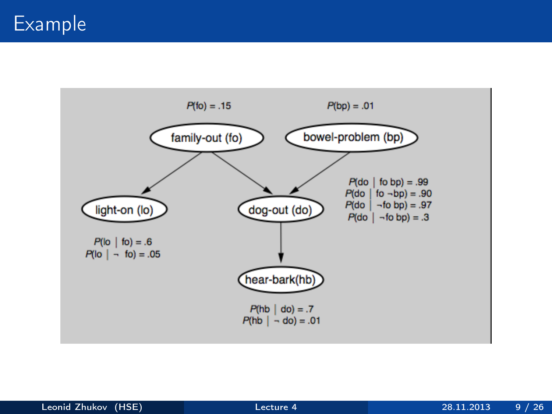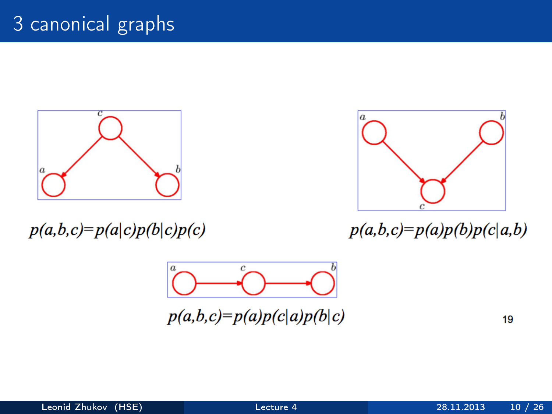

 $p(a,b,c)=p(a|c)p(b|c)p(c)$ 



 $p(a,b,c)=p(a)p(b)p(c|a,b)$ 



 $p(a,b,c)=p(a)p(c|a)p(b|c)$ 

19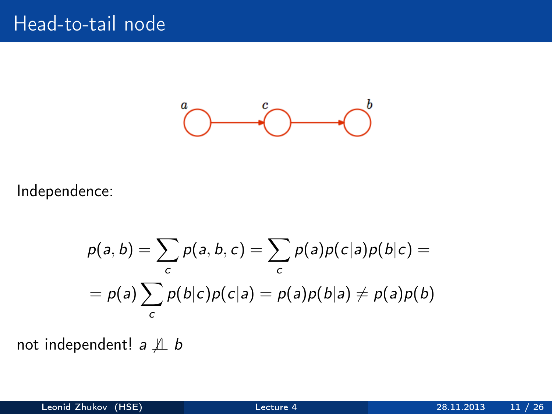

Independence:

$$
p(a,b) = \sum_{c} p(a,b,c) = \sum_{c} p(a)p(c|a)p(b|c) =
$$
  
=  $p(a)\sum_{c} p(b|c)p(c|a) = p(a)p(b|a) \neq p(a)p(b)$ 

not independent!  $a \nperp b$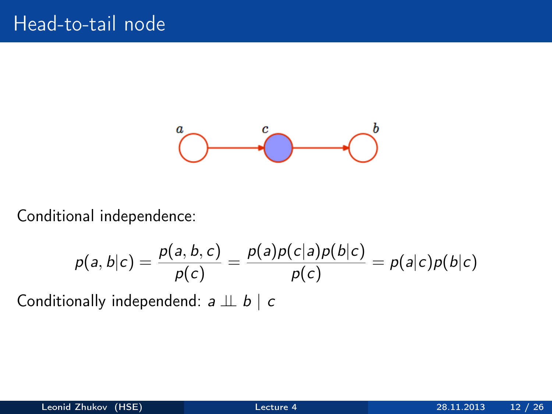

Conditional independence:

$$
p(a,b|c) = \frac{p(a,b,c)}{p(c)} = \frac{p(a)p(c|a)p(b|c)}{p(c)} = p(a|c)p(b|c)
$$

Conditionally independend:  $a \perp b \mid c$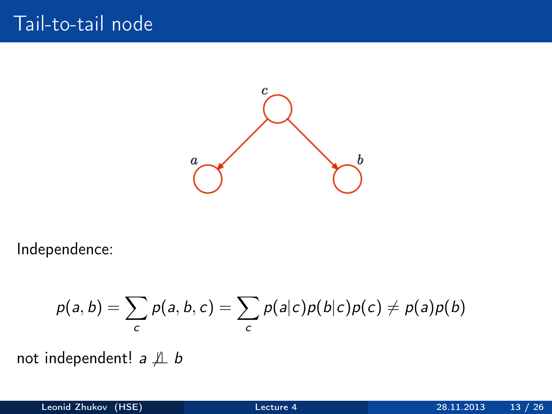

Independence:

$$
p(a,b)=\sum_{c}p(a,b,c)=\sum_{c}p(a|c)p(b|c)p(c)\neq p(a)p(b)
$$

not independent!  $a \nperp b$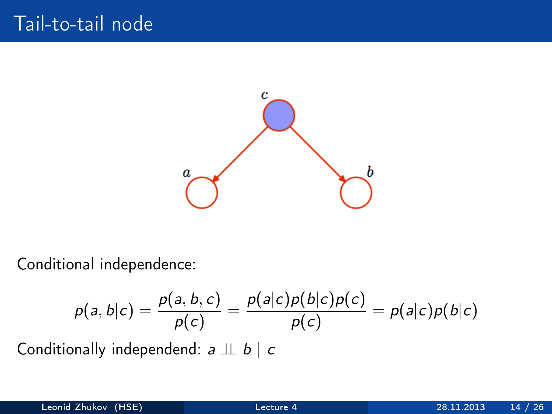

Conditional independence:

$$
p(a,b|c) = \frac{p(a,b,c)}{p(c)} = \frac{p(a|c)p(b|c)p(c)}{p(c)} = p(a|c)p(b|c)
$$
  
Conditionally independent:  $a \perp b \mid c$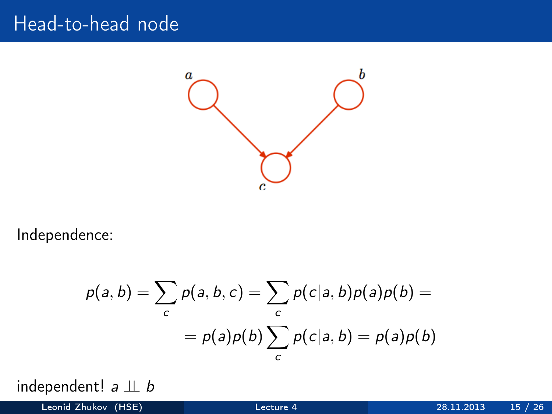#### Head-to-head node



Independence:

$$
p(a,b) = \sum_{c} p(a,b,c) = \sum_{c} p(c|a,b)p(a)p(b) =
$$

$$
= p(a)p(b)\sum_{c} p(c|a,b) = p(a)p(b)
$$

independent!  $a \perp b$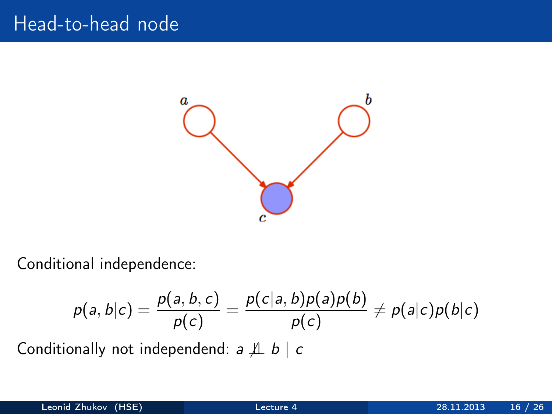## Head-to-head node



Conditional independence:

$$
p(a,b|c) = \frac{p(a,b,c)}{p(c)} = \frac{p(c|a,b)p(a)p(b)}{p(c)} \neq p(a|c)p(b|c)
$$

Conditionally not independend:  $a \nperp b \mid c$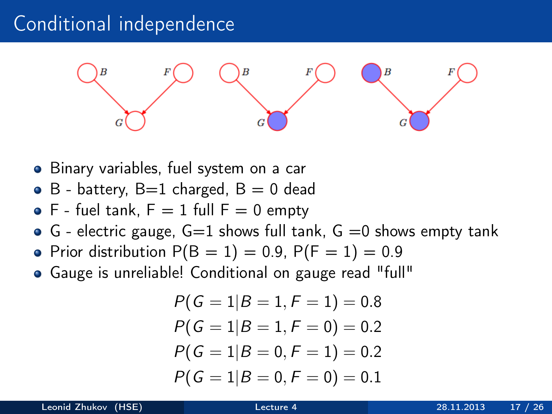## Conditional independence



- Binary variables, fuel system on a car
- $\bullet$  B battery, B=1 charged, B = 0 dead
- $\bullet$  F fuel tank,  $F = 1$  full  $F = 0$  empty
- $\bullet$  G electric gauge, G=1 shows full tank, G =0 shows empty tank
- Prior distribution  $P(B = 1) = 0.9$ ,  $P(F = 1) = 0.9$
- Gauge is unreliable! Conditional on gauge read "full"

$$
P(G = 1|B = 1, F = 1) = 0.8
$$
  
\n
$$
P(G = 1|B = 1, F = 0) = 0.2
$$
  
\n
$$
P(G = 1|B = 0, F = 1) = 0.2
$$
  
\n
$$
P(G = 1|B = 0, F = 0) = 0.1
$$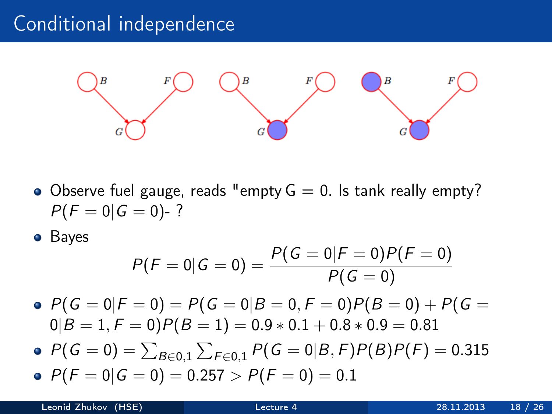## Conditional independence



- Observe fuel gauge, reads "empty  $G = 0$ . Is tank really empty?  $P(F = 0|G = 0)$ -?
- **•** Bayes

$$
P(F = 0|G = 0) = \frac{P(G = 0|F = 0)P(F = 0)}{P(G = 0)}
$$

•  $P(G = 0|F = 0) = P(G = 0|B = 0, F = 0)P(B = 0) + P(G = 0)$  $0|B = 1, F = 0$ ) $P(B = 1) = 0.9 * 0.1 + 0.8 * 0.9 = 0.81$ 

- $P(\mathit{G}=0)=\sum_{B\in 0,1}\sum_{F\in 0,1}P(\mathit{G}=0|B,F)P(B)P(F)=0.315$
- $P(F = 0|G = 0) = 0.257 > P(F = 0) = 0.1$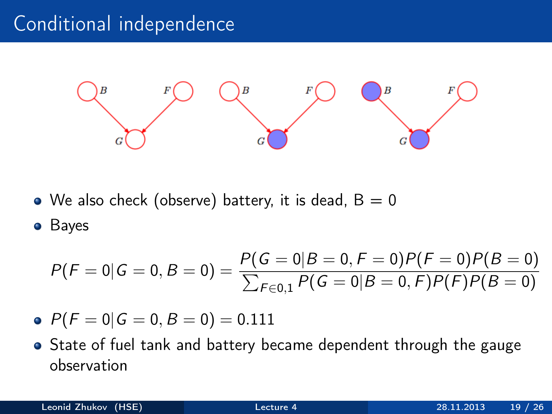# Conditional independence



• We also check (observe) battery, it is dead,  $B = 0$ 

**•** Bayes

$$
P(F = 0|G = 0, B = 0) = \frac{P(G = 0|B = 0, F = 0)P(F = 0)P(B = 0)}{\sum_{F \in 0,1} P(G = 0|B = 0, F)P(F)P(B = 0)}
$$

- $P(F = 0|G = 0, B = 0) = 0.111$
- State of fuel tank and battery became dependent through the gauge observation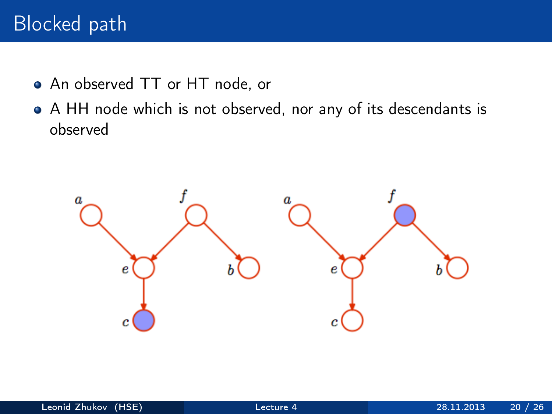# Blocked path

- An observed TT or HT node, or
- A HH node which is not observed, nor any of its descendants is observed

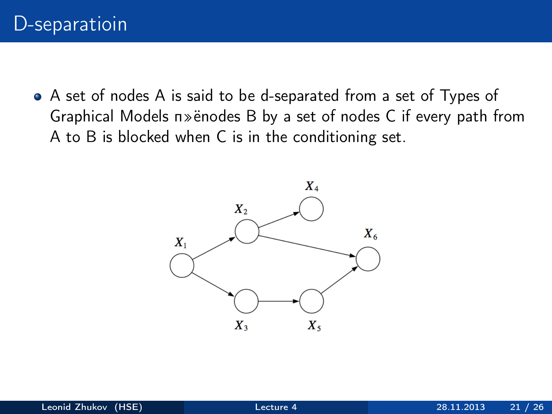A set of nodes A is said to be d-separated from a set of Types of Graphical Models п»ёnodes B by a set of nodes C if every path from A to B is blocked when C is in the conditioning set.

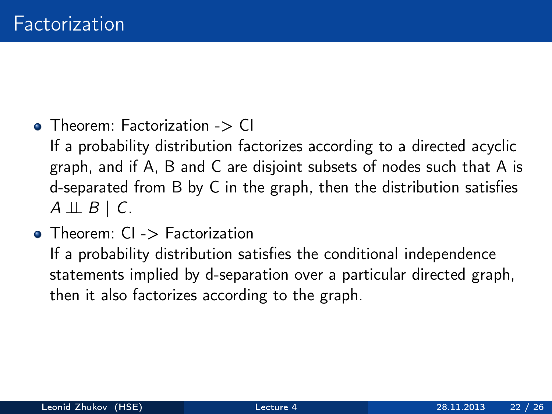• Theorem: Factorization -> CI

If a probability distribution factorizes according to a directed acyclic graph, and if A, B and C are disjoint subsets of nodes such that A is d-separated from B by C in the graph, then the distribution satisfies  $A \perp\!\!\!\perp B \mid C.$ 

• Theorem: CI -> Factorization If a probability distribution satisfies the conditional independence statements implied by d-separation over a particular directed graph, then it also factorizes according to the graph.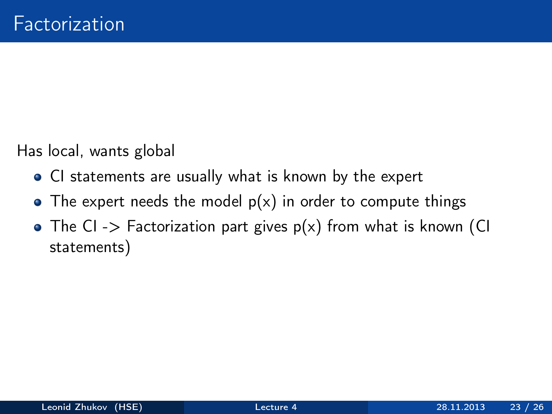Has local, wants global

- CI statements are usually what is known by the expert
- The expert needs the model  $p(x)$  in order to compute things
- The CI -> Factorization part gives  $p(x)$  from what is known (CI statements)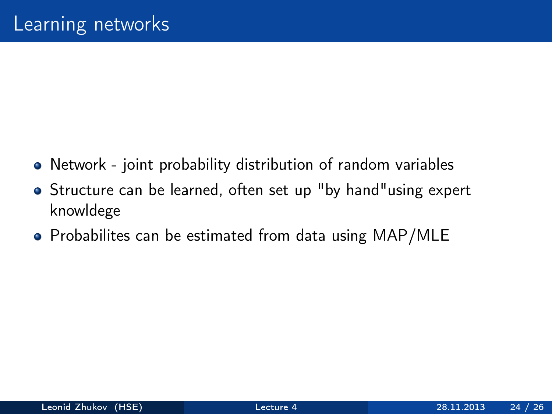- Network joint probability distribution of random variables
- Structure can be learned, often set up "by hand"using expert knowldege
- Probabilites can be estimated from data using MAP/MLE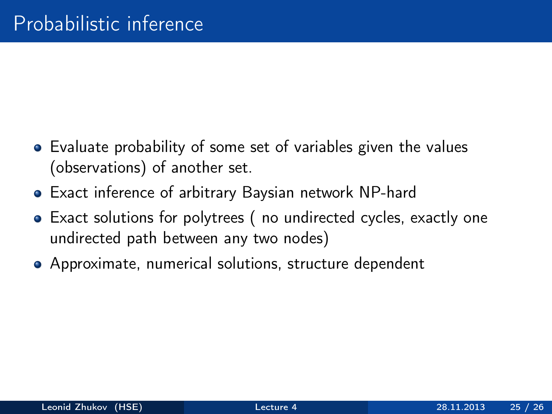- Evaluate probability of some set of variables given the values (observations) of another set.
- Exact inference of arbitrary Baysian network NP-hard
- Exact solutions for polytrees ( no undirected cycles, exactly one undirected path between any two nodes)
- Approximate, numerical solutions, structure dependent